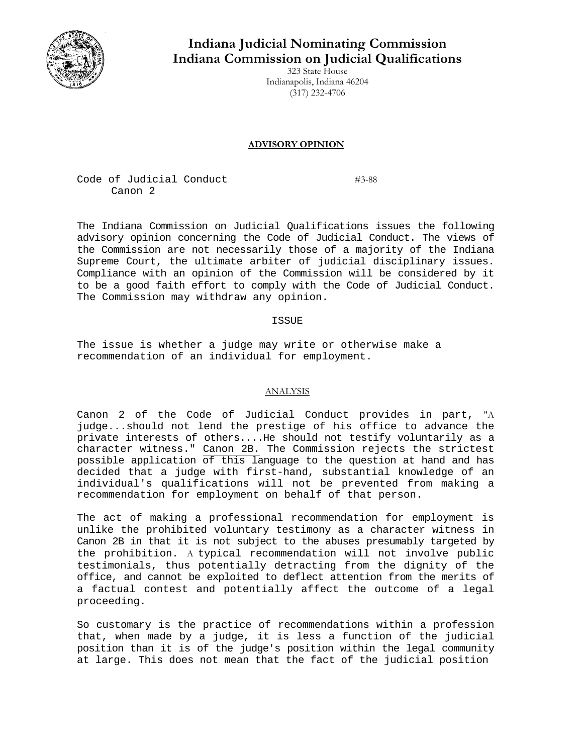

# **Indiana Judicial Nominating Commission Indiana Commission on Judicial Qualifications**

323 State House Indianapolis, Indiana 46204 (317) 232-4706

## **ADVISORY OPINION**

Code of Judicial Conduct #3-88 Canon 2

The Indiana Commission on Judicial Qualifications issues the following advisory opinion concerning the Code of Judicial Conduct. The views of the Commission are not necessarily those of a majority of the Indiana Supreme Court, the ultimate arbiter of judicial disciplinary issues. Compliance with an opinion of the Commission will be considered by it to be a good faith effort to comply with the Code of Judicial Conduct. The Commission may withdraw any opinion.

### ISSUE

The issue is whether a judge may write or otherwise make a recommendation of an individual for employment.

#### ANALYSIS

Canon 2 of the Code of Judicial Conduct provides in part, "A judge...should not lend the prestige of his office to advance the private interests of others....He should not testify voluntarily as a character witness." Canon 2B. The Commission rejects the strictest possible application of this language to the question at hand and has decided that a judge with first-hand, substantial knowledge of an individual's qualifications will not be prevented from making a recommendation for employment on behalf of that person.

The act of making a professional recommendation for employment is unlike the prohibited voluntary testimony as a character witness in Canon 2B in that it is not subject to the abuses presumably targeted by the prohibition. A typical recommendation will not involve public testimonials, thus potentially detracting from the dignity of the office, and cannot be exploited to deflect attention from the merits of a factual contest and potentially affect the outcome of a legal proceeding.

So customary is the practice of recommendations within a profession that, when made by a judge, it is less a function of the judicial position than it is of the judge's position within the legal community at large. This does not mean that the fact of the judicial position